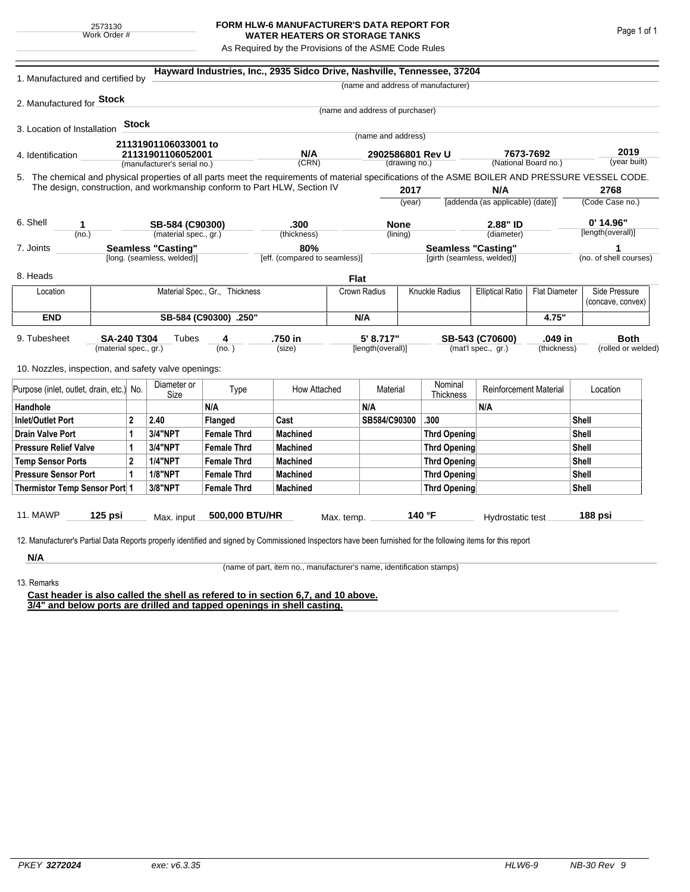## **FORM HLW-6 MANUFACTURER'S DATA REPORT FOR WATER HEATERS OR STORAGE TANKS**

As Required by the Provisions of the ASME Code Rules

| (name and address of manufacturer)<br>2. Manufactured for <b>Stock</b><br>(name and address of purchaser)<br>Stock<br>3. Location of Installation<br>(name and address)<br>21131901106033001 to<br>2019<br>N/A<br>7673-7692<br>21131901106052001<br>2902586801 Rev U<br>(year built)<br>(CRN)<br>(National Board no.)<br>(manufacturer's serial no.)<br>(drawing no.)<br>5. The chemical and physical properties of all parts meet the requirements of material specifications of the ASME BOILER AND PRESSURE VESSEL CODE.<br>The design, construction, and workmanship conform to Part HLW, Section IV<br>2017<br>N/A<br>2768<br>(Code Case no.)<br>[addenda (as applicable) (date)]<br>(year)<br>0' 14.96"<br>2.88" ID<br>SB-584 (C90300)<br>.300<br><b>None</b><br>1<br>[length(overall)]<br>(no.)<br>(material spec., gr.)<br>(thickness)<br>(lining)<br>(diameter)<br><b>Seamless "Casting"</b><br>80%<br><b>Seamless "Casting"</b><br>1<br>[eff. (compared to seamless)]<br>(no. of shell courses)<br>[long. (seamless, welded)]<br>[girth (seamless, welded)]<br><b>Flat</b><br>Knuckle Radius<br>Side Pressure<br>Material Spec., Gr., Thickness<br><b>Elliptical Ratio</b><br><b>Flat Diameter</b><br>Location<br>Crown Radius<br>(concave, convex)<br><b>END</b><br>SB-584 (C90300) .250"<br>N/A<br>4.75"<br>.750 in<br>5' 8.717"<br>.049 in<br><b>SA-240 T304</b><br>Tubes<br>SB-543 (C70600)<br><b>Both</b><br>4<br>(material spec., gr.)<br>(no. )<br>(size)<br>[length(overall)]<br>(mat'l spec., gr.)<br>(thickness)<br>10. Nozzles, inspection, and safety valve openings:<br>Diameter or<br>Nominal<br><b>Reinforcement Material</b><br>Type<br>How Attached<br>Material<br>Location<br>Size<br>Thickness<br>N/A<br>N/A<br>N/A<br>$\overline{2}$<br>Cast<br>SB584/C90300<br>.300<br>Shell<br><b>Inlet/Outlet Port</b><br>2.40<br>Flanged<br>3/4"NPT<br>Shell<br>1<br><b>Female Thrd</b><br><b>Machined</b><br><b>Thrd Opening</b><br>Shell<br>3/4"NPT<br><b>Female Thrd</b><br><b>Machined</b><br>1<br><b>Thrd Opening</b><br>$\overline{2}$<br><b>1/4"NPT</b><br>Shell<br><b>Machined</b><br><b>Female Thrd</b><br><b>Thrd Opening</b><br><b>1/8"NPT</b><br>Shell<br>1<br><b>Machined</b><br><b>Female Thrd</b><br>Thrd Opening<br>3/8"NPT<br>Shell<br>Thermistor Temp Sensor Port 1<br><b>Female Thrd</b><br><b>Machined</b><br>Thrd Opening<br>140 °F<br>$125$ psi<br>500,000 BTU/HR<br>188 psi<br>Max. input<br>Max. temp.<br>Hydrostatic test<br>12. Manufacturer's Partial Data Reports properly identified and signed by Commissioned Inspectors have been furnished for the following items for this report | 1. Manufactured and certified by         |  |  |  |  | Hayward Industries, Inc., 2935 Sidco Drive, Nashville, Tennessee, 37204 |  |  |  |  |  |  |                    |  |  |
|---------------------------------------------------------------------------------------------------------------------------------------------------------------------------------------------------------------------------------------------------------------------------------------------------------------------------------------------------------------------------------------------------------------------------------------------------------------------------------------------------------------------------------------------------------------------------------------------------------------------------------------------------------------------------------------------------------------------------------------------------------------------------------------------------------------------------------------------------------------------------------------------------------------------------------------------------------------------------------------------------------------------------------------------------------------------------------------------------------------------------------------------------------------------------------------------------------------------------------------------------------------------------------------------------------------------------------------------------------------------------------------------------------------------------------------------------------------------------------------------------------------------------------------------------------------------------------------------------------------------------------------------------------------------------------------------------------------------------------------------------------------------------------------------------------------------------------------------------------------------------------------------------------------------------------------------------------------------------------------------------------------------------------------------------------------------------------------------------------------------------------------------------------------------------------------------------------------------------------------------------------------------------------------------------------------------------------------------------------------------------------------------------------------------------------------------------------------------------------------------------------------------------------------------------------------------------------------------------------------------------------------|------------------------------------------|--|--|--|--|-------------------------------------------------------------------------|--|--|--|--|--|--|--------------------|--|--|
|                                                                                                                                                                                                                                                                                                                                                                                                                                                                                                                                                                                                                                                                                                                                                                                                                                                                                                                                                                                                                                                                                                                                                                                                                                                                                                                                                                                                                                                                                                                                                                                                                                                                                                                                                                                                                                                                                                                                                                                                                                                                                                                                                                                                                                                                                                                                                                                                                                                                                                                                                                                                                                       |                                          |  |  |  |  |                                                                         |  |  |  |  |  |  |                    |  |  |
|                                                                                                                                                                                                                                                                                                                                                                                                                                                                                                                                                                                                                                                                                                                                                                                                                                                                                                                                                                                                                                                                                                                                                                                                                                                                                                                                                                                                                                                                                                                                                                                                                                                                                                                                                                                                                                                                                                                                                                                                                                                                                                                                                                                                                                                                                                                                                                                                                                                                                                                                                                                                                                       |                                          |  |  |  |  |                                                                         |  |  |  |  |  |  |                    |  |  |
|                                                                                                                                                                                                                                                                                                                                                                                                                                                                                                                                                                                                                                                                                                                                                                                                                                                                                                                                                                                                                                                                                                                                                                                                                                                                                                                                                                                                                                                                                                                                                                                                                                                                                                                                                                                                                                                                                                                                                                                                                                                                                                                                                                                                                                                                                                                                                                                                                                                                                                                                                                                                                                       |                                          |  |  |  |  |                                                                         |  |  |  |  |  |  |                    |  |  |
|                                                                                                                                                                                                                                                                                                                                                                                                                                                                                                                                                                                                                                                                                                                                                                                                                                                                                                                                                                                                                                                                                                                                                                                                                                                                                                                                                                                                                                                                                                                                                                                                                                                                                                                                                                                                                                                                                                                                                                                                                                                                                                                                                                                                                                                                                                                                                                                                                                                                                                                                                                                                                                       |                                          |  |  |  |  |                                                                         |  |  |  |  |  |  |                    |  |  |
|                                                                                                                                                                                                                                                                                                                                                                                                                                                                                                                                                                                                                                                                                                                                                                                                                                                                                                                                                                                                                                                                                                                                                                                                                                                                                                                                                                                                                                                                                                                                                                                                                                                                                                                                                                                                                                                                                                                                                                                                                                                                                                                                                                                                                                                                                                                                                                                                                                                                                                                                                                                                                                       |                                          |  |  |  |  |                                                                         |  |  |  |  |  |  |                    |  |  |
|                                                                                                                                                                                                                                                                                                                                                                                                                                                                                                                                                                                                                                                                                                                                                                                                                                                                                                                                                                                                                                                                                                                                                                                                                                                                                                                                                                                                                                                                                                                                                                                                                                                                                                                                                                                                                                                                                                                                                                                                                                                                                                                                                                                                                                                                                                                                                                                                                                                                                                                                                                                                                                       | 4. Identification                        |  |  |  |  |                                                                         |  |  |  |  |  |  |                    |  |  |
|                                                                                                                                                                                                                                                                                                                                                                                                                                                                                                                                                                                                                                                                                                                                                                                                                                                                                                                                                                                                                                                                                                                                                                                                                                                                                                                                                                                                                                                                                                                                                                                                                                                                                                                                                                                                                                                                                                                                                                                                                                                                                                                                                                                                                                                                                                                                                                                                                                                                                                                                                                                                                                       |                                          |  |  |  |  |                                                                         |  |  |  |  |  |  |                    |  |  |
|                                                                                                                                                                                                                                                                                                                                                                                                                                                                                                                                                                                                                                                                                                                                                                                                                                                                                                                                                                                                                                                                                                                                                                                                                                                                                                                                                                                                                                                                                                                                                                                                                                                                                                                                                                                                                                                                                                                                                                                                                                                                                                                                                                                                                                                                                                                                                                                                                                                                                                                                                                                                                                       |                                          |  |  |  |  |                                                                         |  |  |  |  |  |  |                    |  |  |
|                                                                                                                                                                                                                                                                                                                                                                                                                                                                                                                                                                                                                                                                                                                                                                                                                                                                                                                                                                                                                                                                                                                                                                                                                                                                                                                                                                                                                                                                                                                                                                                                                                                                                                                                                                                                                                                                                                                                                                                                                                                                                                                                                                                                                                                                                                                                                                                                                                                                                                                                                                                                                                       |                                          |  |  |  |  |                                                                         |  |  |  |  |  |  |                    |  |  |
|                                                                                                                                                                                                                                                                                                                                                                                                                                                                                                                                                                                                                                                                                                                                                                                                                                                                                                                                                                                                                                                                                                                                                                                                                                                                                                                                                                                                                                                                                                                                                                                                                                                                                                                                                                                                                                                                                                                                                                                                                                                                                                                                                                                                                                                                                                                                                                                                                                                                                                                                                                                                                                       |                                          |  |  |  |  |                                                                         |  |  |  |  |  |  |                    |  |  |
|                                                                                                                                                                                                                                                                                                                                                                                                                                                                                                                                                                                                                                                                                                                                                                                                                                                                                                                                                                                                                                                                                                                                                                                                                                                                                                                                                                                                                                                                                                                                                                                                                                                                                                                                                                                                                                                                                                                                                                                                                                                                                                                                                                                                                                                                                                                                                                                                                                                                                                                                                                                                                                       | 6. Shell                                 |  |  |  |  |                                                                         |  |  |  |  |  |  |                    |  |  |
|                                                                                                                                                                                                                                                                                                                                                                                                                                                                                                                                                                                                                                                                                                                                                                                                                                                                                                                                                                                                                                                                                                                                                                                                                                                                                                                                                                                                                                                                                                                                                                                                                                                                                                                                                                                                                                                                                                                                                                                                                                                                                                                                                                                                                                                                                                                                                                                                                                                                                                                                                                                                                                       |                                          |  |  |  |  |                                                                         |  |  |  |  |  |  |                    |  |  |
|                                                                                                                                                                                                                                                                                                                                                                                                                                                                                                                                                                                                                                                                                                                                                                                                                                                                                                                                                                                                                                                                                                                                                                                                                                                                                                                                                                                                                                                                                                                                                                                                                                                                                                                                                                                                                                                                                                                                                                                                                                                                                                                                                                                                                                                                                                                                                                                                                                                                                                                                                                                                                                       | 7. Joints                                |  |  |  |  |                                                                         |  |  |  |  |  |  |                    |  |  |
|                                                                                                                                                                                                                                                                                                                                                                                                                                                                                                                                                                                                                                                                                                                                                                                                                                                                                                                                                                                                                                                                                                                                                                                                                                                                                                                                                                                                                                                                                                                                                                                                                                                                                                                                                                                                                                                                                                                                                                                                                                                                                                                                                                                                                                                                                                                                                                                                                                                                                                                                                                                                                                       |                                          |  |  |  |  |                                                                         |  |  |  |  |  |  |                    |  |  |
|                                                                                                                                                                                                                                                                                                                                                                                                                                                                                                                                                                                                                                                                                                                                                                                                                                                                                                                                                                                                                                                                                                                                                                                                                                                                                                                                                                                                                                                                                                                                                                                                                                                                                                                                                                                                                                                                                                                                                                                                                                                                                                                                                                                                                                                                                                                                                                                                                                                                                                                                                                                                                                       | 8. Heads                                 |  |  |  |  |                                                                         |  |  |  |  |  |  |                    |  |  |
|                                                                                                                                                                                                                                                                                                                                                                                                                                                                                                                                                                                                                                                                                                                                                                                                                                                                                                                                                                                                                                                                                                                                                                                                                                                                                                                                                                                                                                                                                                                                                                                                                                                                                                                                                                                                                                                                                                                                                                                                                                                                                                                                                                                                                                                                                                                                                                                                                                                                                                                                                                                                                                       |                                          |  |  |  |  |                                                                         |  |  |  |  |  |  |                    |  |  |
|                                                                                                                                                                                                                                                                                                                                                                                                                                                                                                                                                                                                                                                                                                                                                                                                                                                                                                                                                                                                                                                                                                                                                                                                                                                                                                                                                                                                                                                                                                                                                                                                                                                                                                                                                                                                                                                                                                                                                                                                                                                                                                                                                                                                                                                                                                                                                                                                                                                                                                                                                                                                                                       |                                          |  |  |  |  |                                                                         |  |  |  |  |  |  |                    |  |  |
|                                                                                                                                                                                                                                                                                                                                                                                                                                                                                                                                                                                                                                                                                                                                                                                                                                                                                                                                                                                                                                                                                                                                                                                                                                                                                                                                                                                                                                                                                                                                                                                                                                                                                                                                                                                                                                                                                                                                                                                                                                                                                                                                                                                                                                                                                                                                                                                                                                                                                                                                                                                                                                       |                                          |  |  |  |  |                                                                         |  |  |  |  |  |  |                    |  |  |
|                                                                                                                                                                                                                                                                                                                                                                                                                                                                                                                                                                                                                                                                                                                                                                                                                                                                                                                                                                                                                                                                                                                                                                                                                                                                                                                                                                                                                                                                                                                                                                                                                                                                                                                                                                                                                                                                                                                                                                                                                                                                                                                                                                                                                                                                                                                                                                                                                                                                                                                                                                                                                                       | 9. Tubesheet                             |  |  |  |  |                                                                         |  |  |  |  |  |  |                    |  |  |
|                                                                                                                                                                                                                                                                                                                                                                                                                                                                                                                                                                                                                                                                                                                                                                                                                                                                                                                                                                                                                                                                                                                                                                                                                                                                                                                                                                                                                                                                                                                                                                                                                                                                                                                                                                                                                                                                                                                                                                                                                                                                                                                                                                                                                                                                                                                                                                                                                                                                                                                                                                                                                                       |                                          |  |  |  |  |                                                                         |  |  |  |  |  |  | (rolled or welded) |  |  |
|                                                                                                                                                                                                                                                                                                                                                                                                                                                                                                                                                                                                                                                                                                                                                                                                                                                                                                                                                                                                                                                                                                                                                                                                                                                                                                                                                                                                                                                                                                                                                                                                                                                                                                                                                                                                                                                                                                                                                                                                                                                                                                                                                                                                                                                                                                                                                                                                                                                                                                                                                                                                                                       |                                          |  |  |  |  |                                                                         |  |  |  |  |  |  |                    |  |  |
|                                                                                                                                                                                                                                                                                                                                                                                                                                                                                                                                                                                                                                                                                                                                                                                                                                                                                                                                                                                                                                                                                                                                                                                                                                                                                                                                                                                                                                                                                                                                                                                                                                                                                                                                                                                                                                                                                                                                                                                                                                                                                                                                                                                                                                                                                                                                                                                                                                                                                                                                                                                                                                       | Purpose (inlet, outlet, drain, etc.) No. |  |  |  |  |                                                                         |  |  |  |  |  |  |                    |  |  |
|                                                                                                                                                                                                                                                                                                                                                                                                                                                                                                                                                                                                                                                                                                                                                                                                                                                                                                                                                                                                                                                                                                                                                                                                                                                                                                                                                                                                                                                                                                                                                                                                                                                                                                                                                                                                                                                                                                                                                                                                                                                                                                                                                                                                                                                                                                                                                                                                                                                                                                                                                                                                                                       | Handhole                                 |  |  |  |  |                                                                         |  |  |  |  |  |  |                    |  |  |
|                                                                                                                                                                                                                                                                                                                                                                                                                                                                                                                                                                                                                                                                                                                                                                                                                                                                                                                                                                                                                                                                                                                                                                                                                                                                                                                                                                                                                                                                                                                                                                                                                                                                                                                                                                                                                                                                                                                                                                                                                                                                                                                                                                                                                                                                                                                                                                                                                                                                                                                                                                                                                                       |                                          |  |  |  |  |                                                                         |  |  |  |  |  |  |                    |  |  |
|                                                                                                                                                                                                                                                                                                                                                                                                                                                                                                                                                                                                                                                                                                                                                                                                                                                                                                                                                                                                                                                                                                                                                                                                                                                                                                                                                                                                                                                                                                                                                                                                                                                                                                                                                                                                                                                                                                                                                                                                                                                                                                                                                                                                                                                                                                                                                                                                                                                                                                                                                                                                                                       | <b>Drain Valve Port</b>                  |  |  |  |  |                                                                         |  |  |  |  |  |  |                    |  |  |
|                                                                                                                                                                                                                                                                                                                                                                                                                                                                                                                                                                                                                                                                                                                                                                                                                                                                                                                                                                                                                                                                                                                                                                                                                                                                                                                                                                                                                                                                                                                                                                                                                                                                                                                                                                                                                                                                                                                                                                                                                                                                                                                                                                                                                                                                                                                                                                                                                                                                                                                                                                                                                                       | <b>Pressure Relief Valve</b>             |  |  |  |  |                                                                         |  |  |  |  |  |  |                    |  |  |
|                                                                                                                                                                                                                                                                                                                                                                                                                                                                                                                                                                                                                                                                                                                                                                                                                                                                                                                                                                                                                                                                                                                                                                                                                                                                                                                                                                                                                                                                                                                                                                                                                                                                                                                                                                                                                                                                                                                                                                                                                                                                                                                                                                                                                                                                                                                                                                                                                                                                                                                                                                                                                                       | <b>Temp Sensor Ports</b>                 |  |  |  |  |                                                                         |  |  |  |  |  |  |                    |  |  |
|                                                                                                                                                                                                                                                                                                                                                                                                                                                                                                                                                                                                                                                                                                                                                                                                                                                                                                                                                                                                                                                                                                                                                                                                                                                                                                                                                                                                                                                                                                                                                                                                                                                                                                                                                                                                                                                                                                                                                                                                                                                                                                                                                                                                                                                                                                                                                                                                                                                                                                                                                                                                                                       | <b>Pressure Sensor Port</b>              |  |  |  |  |                                                                         |  |  |  |  |  |  |                    |  |  |
|                                                                                                                                                                                                                                                                                                                                                                                                                                                                                                                                                                                                                                                                                                                                                                                                                                                                                                                                                                                                                                                                                                                                                                                                                                                                                                                                                                                                                                                                                                                                                                                                                                                                                                                                                                                                                                                                                                                                                                                                                                                                                                                                                                                                                                                                                                                                                                                                                                                                                                                                                                                                                                       |                                          |  |  |  |  |                                                                         |  |  |  |  |  |  |                    |  |  |
|                                                                                                                                                                                                                                                                                                                                                                                                                                                                                                                                                                                                                                                                                                                                                                                                                                                                                                                                                                                                                                                                                                                                                                                                                                                                                                                                                                                                                                                                                                                                                                                                                                                                                                                                                                                                                                                                                                                                                                                                                                                                                                                                                                                                                                                                                                                                                                                                                                                                                                                                                                                                                                       | 11. MAWP                                 |  |  |  |  |                                                                         |  |  |  |  |  |  |                    |  |  |
|                                                                                                                                                                                                                                                                                                                                                                                                                                                                                                                                                                                                                                                                                                                                                                                                                                                                                                                                                                                                                                                                                                                                                                                                                                                                                                                                                                                                                                                                                                                                                                                                                                                                                                                                                                                                                                                                                                                                                                                                                                                                                                                                                                                                                                                                                                                                                                                                                                                                                                                                                                                                                                       |                                          |  |  |  |  |                                                                         |  |  |  |  |  |  |                    |  |  |
|                                                                                                                                                                                                                                                                                                                                                                                                                                                                                                                                                                                                                                                                                                                                                                                                                                                                                                                                                                                                                                                                                                                                                                                                                                                                                                                                                                                                                                                                                                                                                                                                                                                                                                                                                                                                                                                                                                                                                                                                                                                                                                                                                                                                                                                                                                                                                                                                                                                                                                                                                                                                                                       |                                          |  |  |  |  |                                                                         |  |  |  |  |  |  |                    |  |  |
|                                                                                                                                                                                                                                                                                                                                                                                                                                                                                                                                                                                                                                                                                                                                                                                                                                                                                                                                                                                                                                                                                                                                                                                                                                                                                                                                                                                                                                                                                                                                                                                                                                                                                                                                                                                                                                                                                                                                                                                                                                                                                                                                                                                                                                                                                                                                                                                                                                                                                                                                                                                                                                       | N/A                                      |  |  |  |  |                                                                         |  |  |  |  |  |  |                    |  |  |

(name of part, item no., manufacturer's name, identification stamps)

13. Remarks

**Cast header is also called the shell as refered to in section 6,7, and 10 above. 3/4" and below ports are drilled and tapped openings in shell casting.**